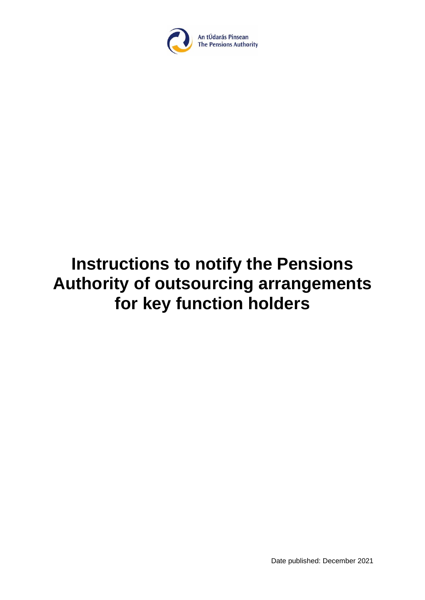

# **Instructions to notify the Pensions Authority of outsourcing arrangements for key function holders**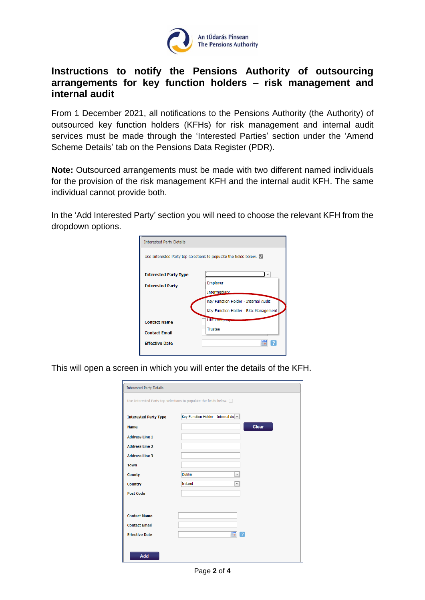

# **Instructions to notify the Pensions Authority of outsourcing arrangements for key function holders – risk management and internal audit**

From 1 December 2021, all notifications to the Pensions Authority (the Authority) of outsourced key function holders (KFHs) for risk management and internal audit services must be made through the 'Interested Parties' section under the 'Amend Scheme Details' tab on the Pensions Data Register (PDR).

**Note:** Outsourced arrangements must be made with two different named individuals for the provision of the risk management KFH and the internal audit KFH. The same individual cannot provide both.

In the 'Add Interested Party' section you will need to choose the relevant KFH from the dropdown options.

| <b>Interested Party Details</b>                                   |                                       |  |  |  |  |
|-------------------------------------------------------------------|---------------------------------------|--|--|--|--|
| Use Interested Party top selections to populate the fields below. |                                       |  |  |  |  |
| <b>Interested Party Type</b>                                      |                                       |  |  |  |  |
| <b>Interested Party</b>                                           | Employer<br><b>Intermediary</b>       |  |  |  |  |
|                                                                   | Key Function Holder - Internal Audit  |  |  |  |  |
|                                                                   | Key Function Holder - Risk Management |  |  |  |  |
| <b>Contact Name</b>                                               | Life Company                          |  |  |  |  |
| <b>Contact Email</b>                                              | <b>Trustee</b>                        |  |  |  |  |
| <b>Effective Date</b>                                             |                                       |  |  |  |  |
|                                                                   |                                       |  |  |  |  |

This will open a screen in which you will enter the details of the KFH.

|                              | Use Interested Party top selections to populate the fields below. $\Box$ |
|------------------------------|--------------------------------------------------------------------------|
| <b>Interested Party Type</b> | Key Function Holder - Internal Au v                                      |
| <b>Name</b>                  | <b>Clear</b>                                                             |
| <b>Address Line 1</b>        |                                                                          |
| <b>Address Line 2</b>        |                                                                          |
| <b>Address Line 3</b>        |                                                                          |
| <b>Town</b>                  |                                                                          |
| <b>County</b>                | <b>Dublin</b><br>$\checkmark$                                            |
| <b>Country</b>               | <b>Ireland</b><br>$\checkmark$                                           |
| <b>Post Code</b>             |                                                                          |
|                              |                                                                          |
| <b>Contact Name</b>          |                                                                          |
| <b>Contact Email</b>         |                                                                          |
| <b>Effective Date</b>        | 喟<br>$\overline{P}$                                                      |

Page **2** of **4**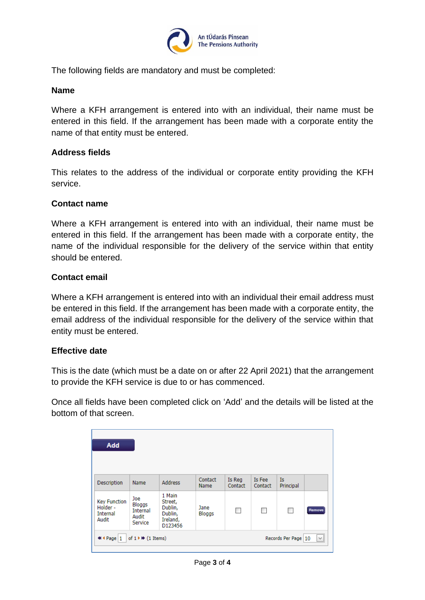

The following fields are mandatory and must be completed:

#### **Name**

Where a KFH arrangement is entered into with an individual, their name must be entered in this field. If the arrangement has been made with a corporate entity the name of that entity must be entered.

## **Address fields**

This relates to the address of the individual or corporate entity providing the KFH service.

## **Contact name**

Where a KFH arrangement is entered into with an individual, their name must be entered in this field. If the arrangement has been made with a corporate entity, the name of the individual responsible for the delivery of the service within that entity should be entered.

## **Contact email**

Where a KFH arrangement is entered into with an individual their email address must be entered in this field. If the arrangement has been made with a corporate entity, the email address of the individual responsible for the delivery of the service within that entity must be entered.

#### **Effective date**

This is the date (which must be a date on or after 22 April 2021) that the arrangement to provide the KFH service is due to or has commenced.

Once all fields have been completed click on 'Add' and the details will be listed at the bottom of that screen.

| <b>Add</b>                                                                               |                                                      |                                                                |                        |                   |                   |                 |        |
|------------------------------------------------------------------------------------------|------------------------------------------------------|----------------------------------------------------------------|------------------------|-------------------|-------------------|-----------------|--------|
| Description                                                                              | Name                                                 | <b>Address</b>                                                 | Contact<br><b>Name</b> | Is Reg<br>Contact | Is Fee<br>Contact | Is<br>Principal |        |
| <b>Key Function</b><br>Holder -<br><b>Internal</b><br>Audit                              | Joe<br>Bloggs<br><b>Internal</b><br>Audit<br>Service | 1 Main<br>Street,<br>Dublin,<br>Dublin,<br>Ireland,<br>D123456 | Jane<br>Bloggs         | П                 | $\Box$            | ш               | Remove |
| v<br>₩ 4 Page 1<br>of $1 \triangleright \triangleright$ (1 Items)<br>Records Per Page 10 |                                                      |                                                                |                        |                   |                   |                 |        |